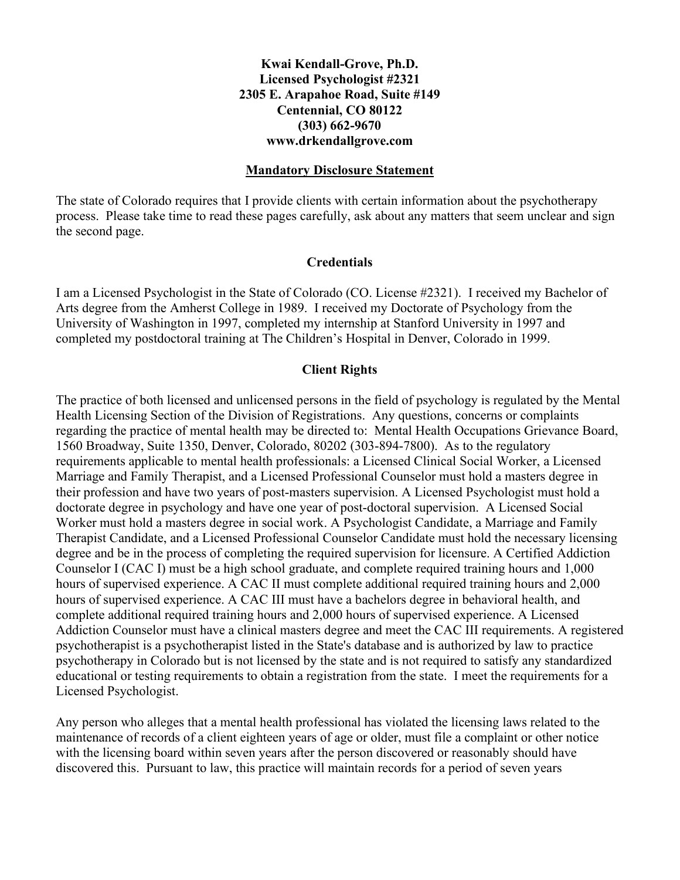## **Kwai Kendall-Grove, Ph.D. Licensed Psychologist #2321 2305 E. Arapahoe Road, Suite #149 Centennial, CO 80122 (303) 662-9670 www.drkendallgrove.com**

## **Mandatory Disclosure Statement**

The state of Colorado requires that I provide clients with certain information about the psychotherapy process. Please take time to read these pages carefully, ask about any matters that seem unclear and sign the second page.

## **Credentials**

I am a Licensed Psychologist in the State of Colorado (CO. License #2321). I received my Bachelor of Arts degree from the Amherst College in 1989. I received my Doctorate of Psychology from the University of Washington in 1997, completed my internship at Stanford University in 1997 and completed my postdoctoral training at The Children's Hospital in Denver, Colorado in 1999.

## **Client Rights**

The practice of both licensed and unlicensed persons in the field of psychology is regulated by the Mental Health Licensing Section of the Division of Registrations. Any questions, concerns or complaints regarding the practice of mental health may be directed to: Mental Health Occupations Grievance Board, 1560 Broadway, Suite 1350, Denver, Colorado, 80202 (303-894-7800). As to the regulatory requirements applicable to mental health professionals: a Licensed Clinical Social Worker, a Licensed Marriage and Family Therapist, and a Licensed Professional Counselor must hold a masters degree in their profession and have two years of post-masters supervision. A Licensed Psychologist must hold a doctorate degree in psychology and have one year of post-doctoral supervision. A Licensed Social Worker must hold a masters degree in social work. A Psychologist Candidate, a Marriage and Family Therapist Candidate, and a Licensed Professional Counselor Candidate must hold the necessary licensing degree and be in the process of completing the required supervision for licensure. A Certified Addiction Counselor I (CAC I) must be a high school graduate, and complete required training hours and 1,000 hours of supervised experience. A CAC II must complete additional required training hours and 2,000 hours of supervised experience. A CAC III must have a bachelors degree in behavioral health, and complete additional required training hours and 2,000 hours of supervised experience. A Licensed Addiction Counselor must have a clinical masters degree and meet the CAC III requirements. A registered psychotherapist is a psychotherapist listed in the State's database and is authorized by law to practice psychotherapy in Colorado but is not licensed by the state and is not required to satisfy any standardized educational or testing requirements to obtain a registration from the state. I meet the requirements for a Licensed Psychologist.

Any person who alleges that a mental health professional has violated the licensing laws related to the maintenance of records of a client eighteen years of age or older, must file a complaint or other notice with the licensing board within seven years after the person discovered or reasonably should have discovered this. Pursuant to law, this practice will maintain records for a period of seven years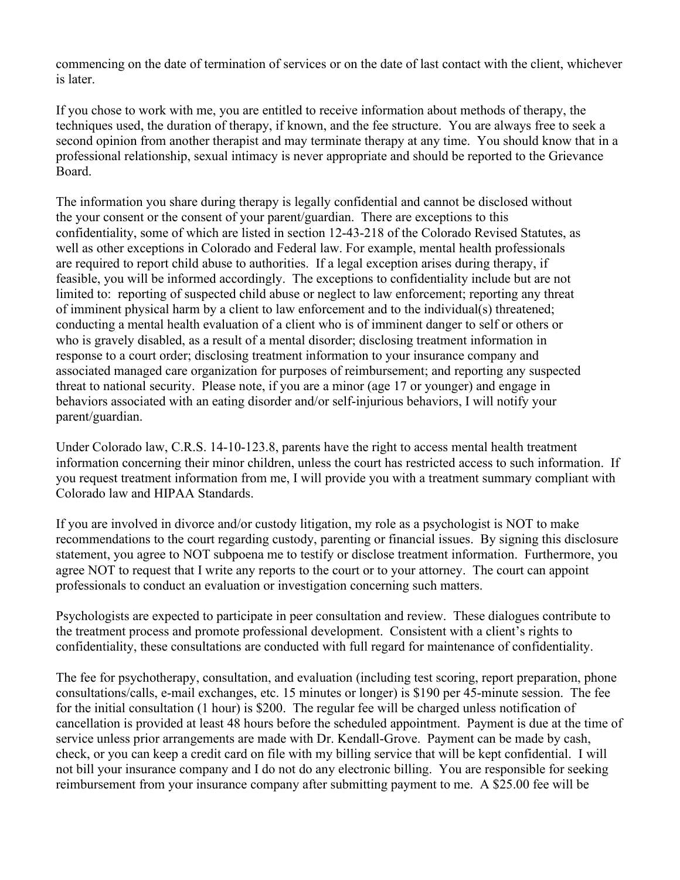commencing on the date of termination of services or on the date of last contact with the client, whichever is later.

If you chose to work with me, you are entitled to receive information about methods of therapy, the techniques used, the duration of therapy, if known, and the fee structure. You are always free to seek a second opinion from another therapist and may terminate therapy at any time. You should know that in a professional relationship, sexual intimacy is never appropriate and should be reported to the Grievance Board.

The information you share during therapy is legally confidential and cannot be disclosed without the your consent or the consent of your parent/guardian. There are exceptions to this confidentiality, some of which are listed in section 12-43-218 of the Colorado Revised Statutes, as well as other exceptions in Colorado and Federal law. For example, mental health professionals are required to report child abuse to authorities. If a legal exception arises during therapy, if feasible, you will be informed accordingly. The exceptions to confidentiality include but are not limited to: reporting of suspected child abuse or neglect to law enforcement; reporting any threat of imminent physical harm by a client to law enforcement and to the individual(s) threatened; conducting a mental health evaluation of a client who is of imminent danger to self or others or who is gravely disabled, as a result of a mental disorder; disclosing treatment information in response to a court order; disclosing treatment information to your insurance company and associated managed care organization for purposes of reimbursement; and reporting any suspected threat to national security. Please note, if you are a minor (age 17 or younger) and engage in behaviors associated with an eating disorder and/or self-injurious behaviors, I will notify your parent/guardian.

Under Colorado law, C.R.S. 14-10-123.8, parents have the right to access mental health treatment information concerning their minor children, unless the court has restricted access to such information. If you request treatment information from me, I will provide you with a treatment summary compliant with Colorado law and HIPAA Standards.

If you are involved in divorce and/or custody litigation, my role as a psychologist is NOT to make recommendations to the court regarding custody, parenting or financial issues. By signing this disclosure statement, you agree to NOT subpoena me to testify or disclose treatment information. Furthermore, you agree NOT to request that I write any reports to the court or to your attorney. The court can appoint professionals to conduct an evaluation or investigation concerning such matters.

Psychologists are expected to participate in peer consultation and review. These dialogues contribute to the treatment process and promote professional development. Consistent with a client's rights to confidentiality, these consultations are conducted with full regard for maintenance of confidentiality.

The fee for psychotherapy, consultation, and evaluation (including test scoring, report preparation, phone consultations/calls, e-mail exchanges, etc. 15 minutes or longer) is \$190 per 45-minute session. The fee for the initial consultation (1 hour) is \$200. The regular fee will be charged unless notification of cancellation is provided at least 48 hours before the scheduled appointment. Payment is due at the time of service unless prior arrangements are made with Dr. Kendall-Grove. Payment can be made by cash, check, or you can keep a credit card on file with my billing service that will be kept confidential. I will not bill your insurance company and I do not do any electronic billing. You are responsible for seeking reimbursement from your insurance company after submitting payment to me. A \$25.00 fee will be